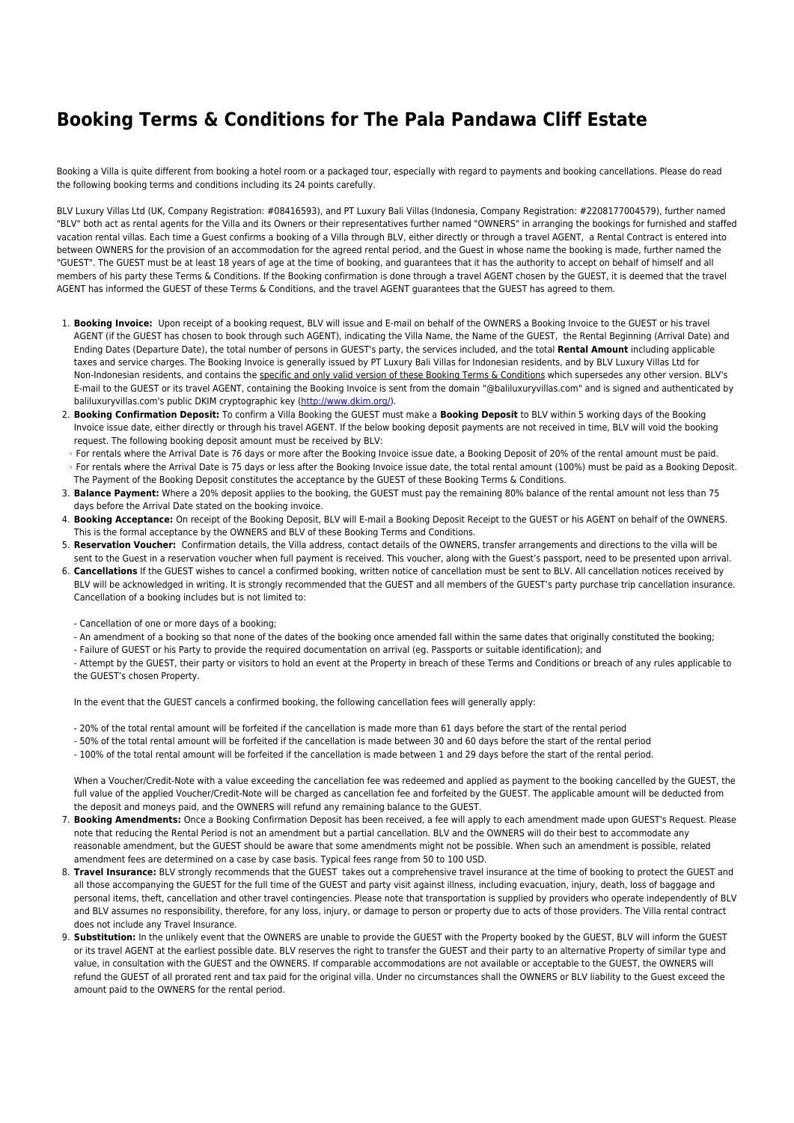## **Booking Terms & Conditions for The Pala Pandawa Cliff Estate**

Booking a Villa is quite different from booking a hotel room or a packaged tour, especially with regard to payments and booking cancellations. Please do read the following booking terms and conditions including its 24 points carefully.

BLV Luxury Villas Ltd (UK, Company Registration: #08416593), and PT Luxury Bali Villas (Indonesia, Company Registration: #2208177004579), further named "BLV" both act as rental agents for the Villa and its Owners or their representatives further named "OWNERS" in arranging the bookings for furnished and staffed vacation rental villas. Each time a Guest confirms a booking of a Villa through BLV, either directly or through a travel AGENT, a Rental Contract is entered into between OWNERS for the provision of an accommodation for the agreed rental period, and the Guest in whose name the booking is made, further named the "GUEST". The GUEST must be at least 18 years of age at the time of booking, and guarantees that it has the authority to accept on behalf of himself and all members of his party these Terms & Conditions. If the Booking confirmation is done through a travel AGENT chosen by the GUEST, it is deemed that the travel AGENT has informed the GUEST of these Terms & Conditions, and the travel AGENT guarantees that the GUEST has agreed to them.

- 1. **Booking Invoice:** Upon receipt of a booking request, BLV will issue and E-mail on behalf of the OWNERS a Booking Invoice to the GUEST or his travel AGENT (if the GUEST has chosen to book through such AGENT), indicating the Villa Name, the Name of the GUEST, the Rental Beginning (Arrival Date) and Ending Dates (Departure Date), the total number of persons in GUEST's party, the services included, and the total **Rental Amount** including applicable taxes and service charges. The Booking Invoice is generally issued by PT Luxury Bali Villas for Indonesian residents, and by BLV Luxury Villas Ltd for Non-Indonesian residents, and contains the specific and only valid version of these Booking Terms & Conditions which supersedes any other version. BLV's E-mail to the GUEST or its travel AGENT, containing the Booking Invoice is sent from the domain "@baliluxuryvillas.com" and is signed and authenticated by baliluxuryvillas.com's public DKIM cryptographic key ([http://www.dkim.org/\)](http://www.dkim.org/).
- 2. **Booking Confirmation Deposit:** To confirm a Villa Booking the GUEST must make a **Booking Deposit** to BLV within 5 working days of the Booking Invoice issue date, either directly or through his travel AGENT. If the below booking deposit payments are not received in time, BLV will void the booking request. The following booking deposit amount must be received by BLV:
- ❍ For rentals where the Arrival Date is 76 days or more after the Booking Invoice issue date, a Booking Deposit of 20% of the rental amount must be paid. ❍ For rentals where the Arrival Date is 75 days or less after the Booking Invoice issue date, the total rental amount (100%) must be paid as a Booking Deposit.
- The Payment of the Booking Deposit constitutes the acceptance by the GUEST of these Booking Terms & Conditions. 3. **Balance Payment:** Where a 20% deposit applies to the booking, the GUEST must pay the remaining 80% balance of the rental amount not less than 75 days before the Arrival Date stated on the booking invoice.
- 4. **Booking Acceptance:** On receipt of the Booking Deposit, BLV will E-mail a Booking Deposit Receipt to the GUEST or his AGENT on behalf of the OWNERS. This is the formal acceptance by the OWNERS and BLV of these Booking Terms and Conditions.
- 5. **Reservation Voucher:** Confirmation details, the Villa address, contact details of the OWNERS, transfer arrangements and directions to the villa will be
- sent to the Guest in a reservation voucher when full payment is received. This voucher, along with the Guest's passport, need to be presented upon arrival.
- 6. **Cancellations** If the GUEST wishes to cancel a confirmed booking, written notice of cancellation must be sent to BLV. All cancellation notices received by BLV will be acknowledged in writing. It is strongly recommended that the GUEST and all members of the GUEST's party purchase trip cancellation insurance. Cancellation of a booking includes but is not limited to:
	- Cancellation of one or more days of a booking;
	- An amendment of a booking so that none of the dates of the booking once amended fall within the same dates that originally constituted the booking;
	- Failure of GUEST or his Party to provide the required documentation on arrival (eg. Passports or suitable identification); and

- Attempt by the GUEST, their party or visitors to hold an event at the Property in breach of these Terms and Conditions or breach of any rules applicable to the GUEST's chosen Property.

In the event that the GUEST cancels a confirmed booking, the following cancellation fees will generally apply:

- 20% of the total rental amount will be forfeited if the cancellation is made more than 61 days before the start of the rental period
- 50% of the total rental amount will be forfeited if the cancellation is made between 30 and 60 days before the start of the rental period
- 100% of the total rental amount will be forfeited if the cancellation is made between 1 and 29 days before the start of the rental period.

When a Voucher/Credit-Note with a value exceeding the cancellation fee was redeemed and applied as payment to the booking cancelled by the GUEST, the full value of the applied Voucher/Credit-Note will be charged as cancellation fee and forfeited by the GUEST. The applicable amount will be deducted from the deposit and moneys paid, and the OWNERS will refund any remaining balance to the GUEST.

- 7. **Booking Amendments:** Once a Booking Confirmation Deposit has been received, a fee will apply to each amendment made upon GUEST's Request. Please note that reducing the Rental Period is not an amendment but a partial cancellation. BLV and the OWNERS will do their best to accommodate any reasonable amendment, but the GUEST should be aware that some amendments might not be possible. When such an amendment is possible, related amendment fees are determined on a case by case basis. Typical fees range from 50 to 100 USD.
- 8. **Travel Insurance:** BLV strongly recommends that the GUEST takes out a comprehensive travel insurance at the time of booking to protect the GUEST and all those accompanying the GUEST for the full time of the GUEST and party visit against illness, including evacuation, injury, death, loss of baggage and personal items, theft, cancellation and other travel contingencies. Please note that transportation is supplied by providers who operate independently of BLV and BLV assumes no responsibility, therefore, for any loss, injury, or damage to person or property due to acts of those providers. The Villa rental contract does not include any Travel Insurance.
- 9. **Substitution:** In the unlikely event that the OWNERS are unable to provide the GUEST with the Property booked by the GUEST, BLV will inform the GUEST or its travel AGENT at the earliest possible date. BLV reserves the right to transfer the GUEST and their party to an alternative Property of similar type and value, in consultation with the GUEST and the OWNERS. If comparable accommodations are not available or acceptable to the GUEST, the OWNERS will refund the GUEST of all prorated rent and tax paid for the original villa. Under no circumstances shall the OWNERS or BLV liability to the Guest exceed the amount paid to the OWNERS for the rental period.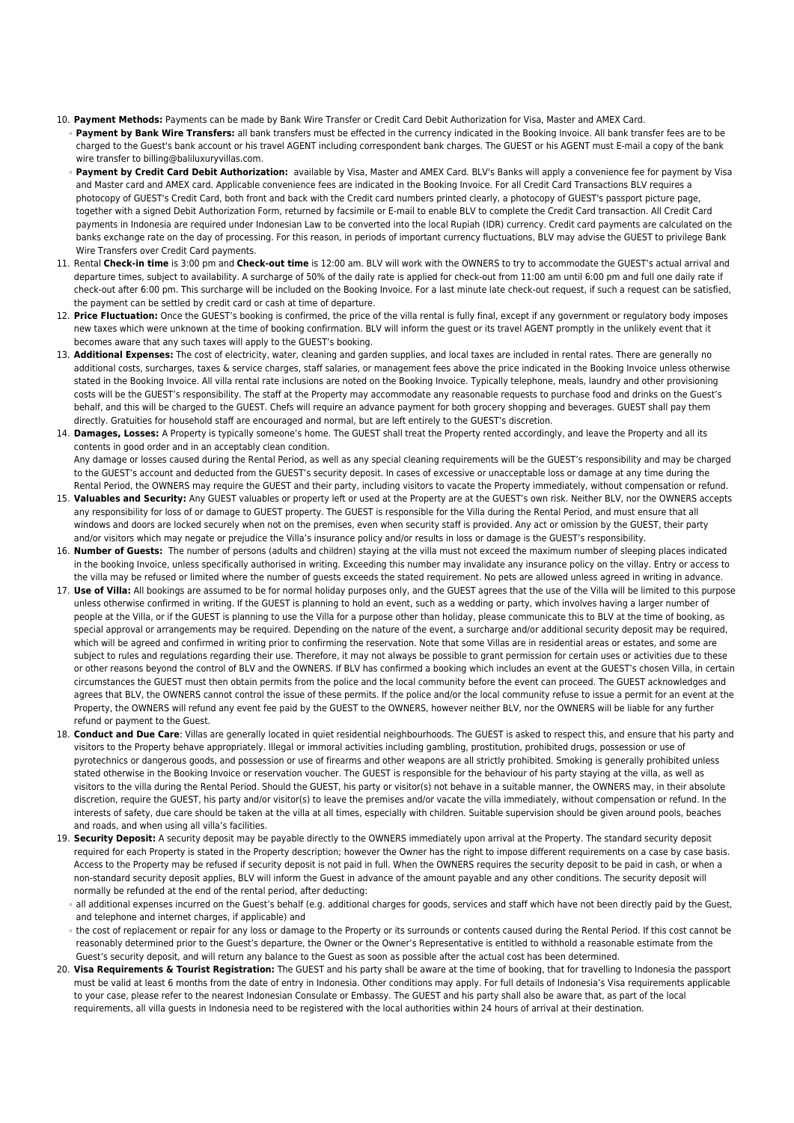- 10. **Payment Methods:** Payments can be made by Bank Wire Transfer or Credit Card Debit Authorization for Visa, Master and AMEX Card. ❍ **Payment by Bank Wire Transfers:** all bank transfers must be effected in the currency indicated in the Booking Invoice. All bank transfer fees are to be charged to the Guest's bank account or his travel AGENT including correspondent bank charges. The GUEST or his AGENT must E-mail a copy of the bank wire transfer to billing@baliluxuryvillas.com
	- ❍ **Payment by Credit Card Debit Authorization:** available by Visa, Master and AMEX Card. BLV's Banks will apply a convenience fee for payment by Visa and Master card and AMEX card. Applicable convenience fees are indicated in the Booking Invoice. For all Credit Card Transactions BLV requires a photocopy of GUEST's Credit Card, both front and back with the Credit card numbers printed clearly, a photocopy of GUEST's passport picture page, together with a signed Debit Authorization Form, returned by facsimile or E-mail to enable BLV to complete the Credit Card transaction. All Credit Card payments in Indonesia are required under Indonesian Law to be converted into the local Rupiah (IDR) currency. Credit card payments are calculated on the banks exchange rate on the day of processing. For this reason, in periods of important currency fluctuations, BLV may advise the GUEST to privilege Bank Wire Transfers over Credit Card payments.
- 11. Rental **Check-in time** is 3:00 pm and **Check-out time** is 12:00 am. BLV will work with the OWNERS to try to accommodate the GUEST's actual arrival and departure times, subject to availability. A surcharge of 50% of the daily rate is applied for check-out from 11:00 am until 6:00 pm and full one daily rate if check-out after 6:00 pm. This surcharge will be included on the Booking Invoice. For a last minute late check-out request, if such a request can be satisfied, the payment can be settled by credit card or cash at time of departure.
- 12. **Price Fluctuation:** Once the GUEST's booking is confirmed, the price of the villa rental is fully final, except if any government or regulatory body imposes new taxes which were unknown at the time of booking confirmation. BLV will inform the guest or its travel AGENT promptly in the unlikely event that it becomes aware that any such taxes will apply to the GUEST's booking.
- 13. **Additional Expenses:** The cost of electricity, water, cleaning and garden supplies, and local taxes are included in rental rates. There are generally no additional costs, surcharges, taxes & service charges, staff salaries, or management fees above the price indicated in the Booking Invoice unless otherwise stated in the Booking Invoice. All villa rental rate inclusions are noted on the Booking Invoice. Typically telephone, meals, laundry and other provisioning costs will be the GUEST's responsibility. The staff at the Property may accommodate any reasonable requests to purchase food and drinks on the Guest's behalf, and this will be charged to the GUEST. Chefs will require an advance payment for both grocery shopping and beverages. GUEST shall pay them directly. Gratuities for household staff are encouraged and normal, but are left entirely to the GUEST's discretion.
- 14. **Damages, Losses:** A Property is typically someone's home. The GUEST shall treat the Property rented accordingly, and leave the Property and all its contents in good order and in an acceptably clean condition.
- Any damage or losses caused during the Rental Period, as well as any special cleaning requirements will be the GUEST's responsibility and may be charged to the GUEST's account and deducted from the GUEST's security deposit. In cases of excessive or unacceptable loss or damage at any time during the Rental Period, the OWNERS may require the GUEST and their party, including visitors to vacate the Property immediately, without compensation or refund. 15. **Valuables and Security:** Any GUEST valuables or property left or used at the Property are at the GUEST's own risk. Neither BLV, nor the OWNERS accepts
- any responsibility for loss of or damage to GUEST property. The GUEST is responsible for the Villa during the Rental Period, and must ensure that all windows and doors are locked securely when not on the premises, even when security staff is provided. Any act or omission by the GUEST, their party and/or visitors which may negate or prejudice the Villa's insurance policy and/or results in loss or damage is the GUEST's responsibility.
- 16. **Number of Guests:** The number of persons (adults and children) staying at the villa must not exceed the maximum number of sleeping places indicated in the booking Invoice, unless specifically authorised in writing. Exceeding this number may invalidate any insurance policy on the villay. Entry or access to the villa may be refused or limited where the number of guests exceeds the stated requirement. No pets are allowed unless agreed in writing in advance.
- 17. Use of Villa: All bookings are assumed to be for normal holiday purposes only, and the GUEST agrees that the use of the Villa will be limited to this purpose unless otherwise confirmed in writing. If the GUEST is planning to hold an event, such as a wedding or party, which involves having a larger number of people at the Villa, or if the GUEST is planning to use the Villa for a purpose other than holiday, please communicate this to BLV at the time of booking, as special approval or arrangements may be required. Depending on the nature of the event, a surcharge and/or additional security deposit may be required, which will be agreed and confirmed in writing prior to confirming the reservation. Note that some Villas are in residential areas or estates, and some are subject to rules and regulations regarding their use. Therefore, it may not always be possible to grant permission for certain uses or activities due to these or other reasons beyond the control of BLV and the OWNERS. If BLV has confirmed a booking which includes an event at the GUEST's chosen Villa, in certain circumstances the GUEST must then obtain permits from the police and the local community before the event can proceed. The GUEST acknowledges and agrees that BLV, the OWNERS cannot control the issue of these permits. If the police and/or the local community refuse to issue a permit for an event at the Property, the OWNERS will refund any event fee paid by the GUEST to the OWNERS, however neither BLV, nor the OWNERS will be liable for any further refund or payment to the Guest.
- 18. **Conduct and Due Care**: Villas are generally located in quiet residential neighbourhoods. The GUEST is asked to respect this, and ensure that his party and visitors to the Property behave appropriately. Illegal or immoral activities including gambling, prostitution, prohibited drugs, possession or use of pyrotechnics or dangerous goods, and possession or use of firearms and other weapons are all strictly prohibited. Smoking is generally prohibited unless stated otherwise in the Booking Invoice or reservation voucher. The GUEST is responsible for the behaviour of his party staying at the villa, as well as visitors to the villa during the Rental Period. Should the GUEST, his party or visitor(s) not behave in a suitable manner, the OWNERS may, in their absolute discretion, require the GUEST, his party and/or visitor(s) to leave the premises and/or vacate the villa immediately, without compensation or refund. In the interests of safety, due care should be taken at the villa at all times, especially with children. Suitable supervision should be given around pools, beaches and roads, and when using all villa's facilities.
- 19. **Security Deposit:** A security deposit may be payable directly to the OWNERS immediately upon arrival at the Property. The standard security deposit required for each Property is stated in the Property description; however the Owner has the right to impose different requirements on a case by case basis. Access to the Property may be refused if security deposit is not paid in full. When the OWNERS requires the security deposit to be paid in cash, or when a non-standard security deposit applies, BLV will inform the Guest in advance of the amount payable and any other conditions. The security deposit will normally be refunded at the end of the rental period, after deducting:
	- ❍ all additional expenses incurred on the Guest's behalf (e.g. additional charges for goods, services and staff which have not been directly paid by the Guest, and telephone and internet charges, if applicable) and
	- ❍ the cost of replacement or repair for any loss or damage to the Property or its surrounds or contents caused during the Rental Period. If this cost cannot be reasonably determined prior to the Guest's departure, the Owner or the Owner's Representative is entitled to withhold a reasonable estimate from the Guest's security deposit, and will return any balance to the Guest as soon as possible after the actual cost has been determined.
- 20. **Visa Requirements & Tourist Registration:** The GUEST and his party shall be aware at the time of booking, that for travelling to Indonesia the passport must be valid at least 6 months from the date of entry in Indonesia. Other conditions may apply. For full details of Indonesia's Visa requirements applicable to your case, please refer to the nearest Indonesian Consulate or Embassy. The GUEST and his party shall also be aware that, as part of the local requirements, all villa guests in Indonesia need to be registered with the local authorities within 24 hours of arrival at their destination.